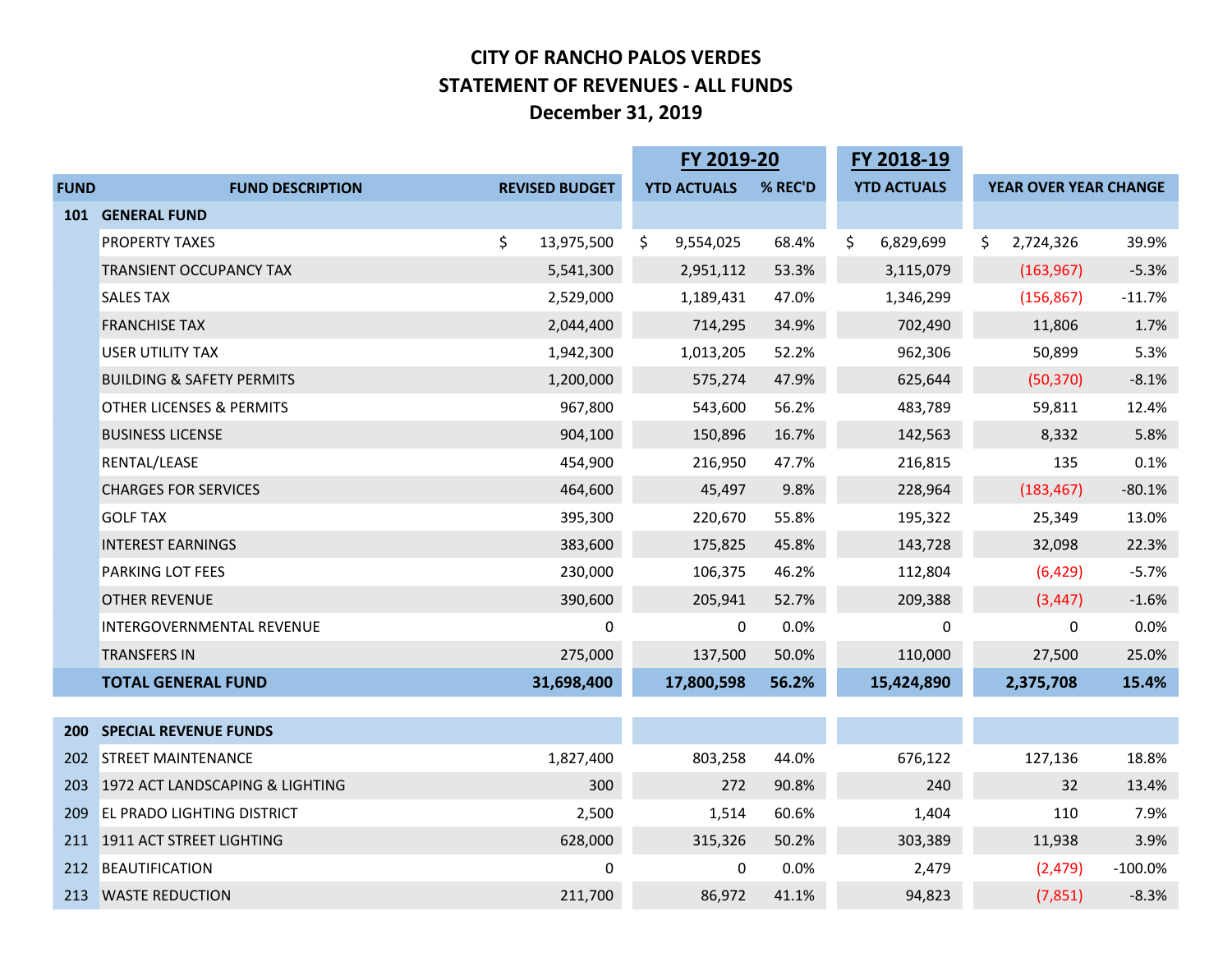## **CITY OF RANCHO PALOS VERDES STATEMENT OF REVENUES - ALL FUNDS December 31, 2019**

|             |                                      |                       | FY 2019-20 |                    | FY 2018-19 |                    |         |                       |           |
|-------------|--------------------------------------|-----------------------|------------|--------------------|------------|--------------------|---------|-----------------------|-----------|
| <b>FUND</b> | <b>FUND DESCRIPTION</b>              | <b>REVISED BUDGET</b> |            | <b>YTD ACTUALS</b> | % REC'D    | <b>YTD ACTUALS</b> |         | YEAR OVER YEAR CHANGE |           |
| <b>101</b>  | <b>GENERAL FUND</b>                  |                       |            |                    |            |                    |         |                       |           |
|             | <b>PROPERTY TAXES</b>                | \$<br>13,975,500      | \$         | 9,554,025          | 68.4%      | \$<br>6,829,699    |         | S.<br>2,724,326       | 39.9%     |
|             | <b>TRANSIENT OCCUPANCY TAX</b>       | 5,541,300             |            | 2,951,112          | 53.3%      | 3,115,079          |         | (163, 967)            | $-5.3%$   |
|             | <b>SALES TAX</b>                     | 2,529,000             |            | 1,189,431          | 47.0%      | 1,346,299          |         | (156, 867)            | $-11.7%$  |
|             | <b>FRANCHISE TAX</b>                 | 2,044,400             |            | 714,295            | 34.9%      |                    | 702,490 | 11,806                | 1.7%      |
|             | <b>USER UTILITY TAX</b>              | 1,942,300             |            | 1,013,205          | 52.2%      |                    | 962,306 | 50,899                | 5.3%      |
|             | <b>BUILDING &amp; SAFETY PERMITS</b> | 1,200,000             |            | 575,274            | 47.9%      | 625,644            |         | (50, 370)             | $-8.1%$   |
|             | OTHER LICENSES & PERMITS             | 967,800               |            | 543,600            | 56.2%      | 483,789            |         | 59,811                | 12.4%     |
|             | <b>BUSINESS LICENSE</b>              | 904,100               |            | 150,896            | 16.7%      | 142,563            |         | 8,332                 | 5.8%      |
|             | RENTAL/LEASE                         | 454,900               |            | 216,950            | 47.7%      | 216,815            |         | 135                   | 0.1%      |
|             | <b>CHARGES FOR SERVICES</b>          | 464,600               |            | 45,497             | 9.8%       | 228,964            |         | (183, 467)            | $-80.1%$  |
|             | <b>GOLF TAX</b>                      | 395,300               |            | 220,670            | 55.8%      |                    | 195,322 | 25,349                | 13.0%     |
|             | <b>INTEREST EARNINGS</b>             | 383,600               |            | 175,825            | 45.8%      | 143,728            |         | 32,098                | 22.3%     |
|             | <b>PARKING LOT FEES</b>              | 230,000               |            | 106,375            | 46.2%      | 112,804            |         | (6, 429)              | $-5.7%$   |
|             | <b>OTHER REVENUE</b>                 | 390,600               |            | 205,941            | 52.7%      | 209,388            |         | (3, 447)              | $-1.6%$   |
|             | INTERGOVERNMENTAL REVENUE            | 0                     |            | 0                  | 0.0%       |                    | 0       | 0                     | 0.0%      |
|             | <b>TRANSFERS IN</b>                  | 275,000               |            | 137,500            | 50.0%      | 110,000            |         | 27,500                | 25.0%     |
|             | <b>TOTAL GENERAL FUND</b>            | 31,698,400            |            | 17,800,598         | 56.2%      | 15,424,890         |         | 2,375,708             | 15.4%     |
|             |                                      |                       |            |                    |            |                    |         |                       |           |
| <b>200</b>  | <b>SPECIAL REVENUE FUNDS</b>         |                       |            |                    |            |                    |         |                       |           |
| 202         | <b>STREET MAINTENANCE</b>            | 1,827,400             |            | 803,258            | 44.0%      | 676,122            |         | 127,136               | 18.8%     |
| 203         | 1972 ACT LANDSCAPING & LIGHTING      | 300                   |            | 272                | 90.8%      |                    | 240     | 32                    | 13.4%     |
| 209         | <b>EL PRADO LIGHTING DISTRICT</b>    | 2,500                 |            | 1,514              | 60.6%      |                    | 1,404   | 110                   | 7.9%      |
| 211         | 1911 ACT STREET LIGHTING             | 628,000               |            | 315,326            | 50.2%      | 303,389            |         | 11,938                | 3.9%      |
| 212         | BEAUTIFICATION                       | 0                     |            | 0                  | 0.0%       |                    | 2,479   | (2, 479)              | $-100.0%$ |
| 213         | <b>WASTE REDUCTION</b>               | 211,700               |            | 86,972             | 41.1%      |                    | 94,823  | (7, 851)              | $-8.3%$   |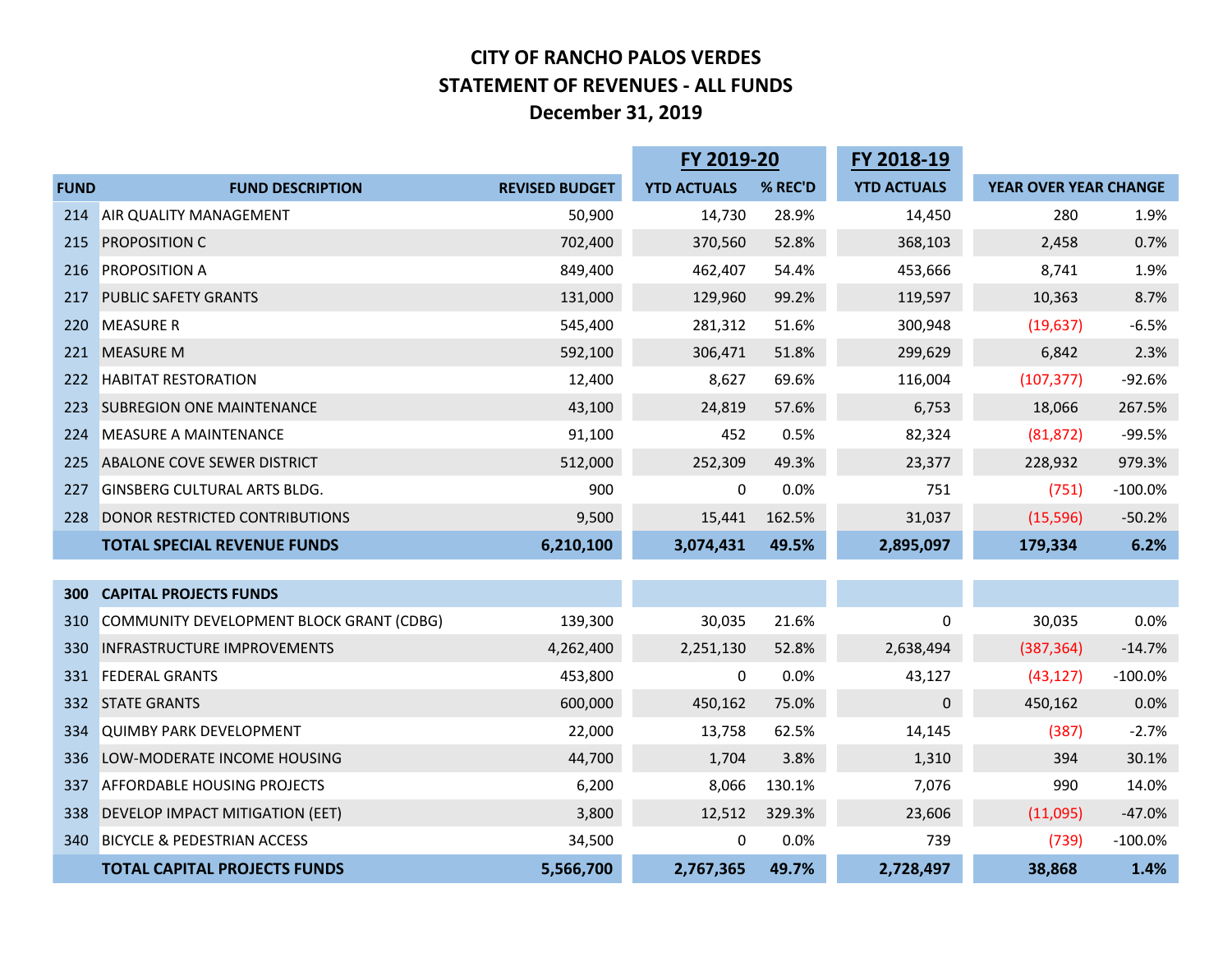## **CITY OF RANCHO PALOS VERDES STATEMENT OF REVENUES - ALL FUNDS December 31, 2019**

|             |                                          |                       | FY 2019-20         |         | FY 2018-19         |                       |           |
|-------------|------------------------------------------|-----------------------|--------------------|---------|--------------------|-----------------------|-----------|
| <b>FUND</b> | <b>FUND DESCRIPTION</b>                  | <b>REVISED BUDGET</b> | <b>YTD ACTUALS</b> | % REC'D | <b>YTD ACTUALS</b> | YEAR OVER YEAR CHANGE |           |
| 214         | AIR QUALITY MANAGEMENT                   | 50,900                | 14,730             | 28.9%   | 14,450             | 280                   | 1.9%      |
| 215         | <b>PROPOSITION C</b>                     | 702,400               | 370,560            | 52.8%   | 368,103            | 2,458                 | 0.7%      |
| 216         | <b>PROPOSITION A</b>                     | 849,400               | 462,407            | 54.4%   | 453,666            | 8,741                 | 1.9%      |
| 217         | <b>PUBLIC SAFETY GRANTS</b>              | 131,000               | 129,960            | 99.2%   | 119,597            | 10,363                | 8.7%      |
| 220         | <b>MEASURE R</b>                         | 545,400               | 281,312            | 51.6%   | 300,948            | (19, 637)             | $-6.5%$   |
| 221         | <b>MEASURE M</b>                         | 592,100               | 306,471            | 51.8%   | 299,629            | 6,842                 | 2.3%      |
| 222         | <b>HABITAT RESTORATION</b>               | 12,400                | 8,627              | 69.6%   | 116,004            | (107, 377)            | $-92.6%$  |
| 223         | <b>SUBREGION ONE MAINTENANCE</b>         | 43,100                | 24,819             | 57.6%   | 6,753              | 18,066                | 267.5%    |
| 224         | <b>MEASURE A MAINTENANCE</b>             | 91,100                | 452                | 0.5%    | 82,324             | (81, 872)             | $-99.5%$  |
| 225         | ABALONE COVE SEWER DISTRICT              | 512,000               | 252,309            | 49.3%   | 23,377             | 228,932               | 979.3%    |
| 227         | <b>GINSBERG CULTURAL ARTS BLDG.</b>      | 900                   | 0                  | 0.0%    | 751                | (751)                 | $-100.0%$ |
| 228         | DONOR RESTRICTED CONTRIBUTIONS           | 9,500                 | 15,441             | 162.5%  | 31,037             | (15, 596)             | $-50.2%$  |
|             | <b>TOTAL SPECIAL REVENUE FUNDS</b>       | 6,210,100             | 3,074,431          | 49.5%   | 2,895,097          | 179,334               | 6.2%      |
|             |                                          |                       |                    |         |                    |                       |           |
| <b>300</b>  | <b>CAPITAL PROJECTS FUNDS</b>            |                       |                    |         |                    |                       |           |
| 310         | COMMUNITY DEVELOPMENT BLOCK GRANT (CDBG) | 139,300               | 30,035             | 21.6%   | 0                  | 30,035                | 0.0%      |
| 330         | <b>INFRASTRUCTURE IMPROVEMENTS</b>       | 4,262,400             | 2,251,130          | 52.8%   | 2,638,494          | (387, 364)            | $-14.7%$  |
| 331         | <b>FEDERAL GRANTS</b>                    | 453,800               | 0                  | 0.0%    | 43,127             | (43, 127)             | $-100.0%$ |
| 332         | <b>STATE GRANTS</b>                      | 600,000               | 450,162            | 75.0%   | $\mathbf 0$        | 450,162               | 0.0%      |
| 334         | <b>QUIMBY PARK DEVELOPMENT</b>           | 22,000                | 13,758             | 62.5%   | 14,145             | (387)                 | $-2.7%$   |
| 336         | LOW-MODERATE INCOME HOUSING              | 44,700                | 1,704              | 3.8%    | 1,310              | 394                   | 30.1%     |
| 337         | <b>AFFORDABLE HOUSING PROJECTS</b>       | 6,200                 | 8,066              | 130.1%  | 7,076              | 990                   | 14.0%     |
| 338         | DEVELOP IMPACT MITIGATION (EET)          | 3,800                 | 12,512             | 329.3%  | 23,606             | (11,095)              | $-47.0%$  |
| 340         | <b>BICYCLE &amp; PEDESTRIAN ACCESS</b>   | 34,500                | 0                  | 0.0%    | 739                | (739)                 | $-100.0%$ |
|             | <b>TOTAL CAPITAL PROJECTS FUNDS</b>      | 5,566,700             | 2,767,365          | 49.7%   | 2,728,497          | 38,868                | 1.4%      |